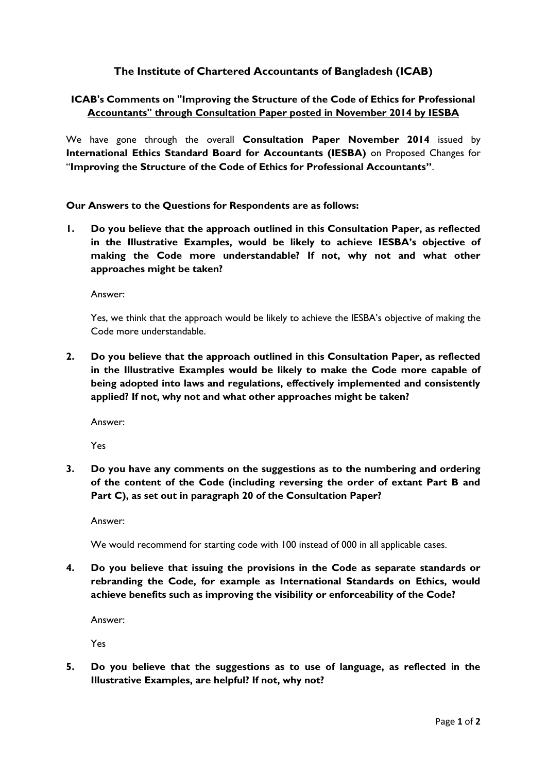# **The Institute of Chartered Accountants of Bangladesh (ICAB)**

# **ICAB's Comments on "Improving the Structure of the Code of Ethics for Professional Accountants" through Consultation Paper posted in November 2014 by IESBA**

We have gone through the overall **Consultation Paper November 2014** issued by **International Ethics Standard Board for Accountants (IESBA)** on Proposed Changes for "**Improving the Structure of the Code of Ethics for Professional Accountants"**.

**Our Answers to the Questions for Respondents are as follows:**

**1. Do you believe that the approach outlined in this Consultation Paper, as reflected in the Illustrative Examples, would be likely to achieve IESBA's objective of making the Code more understandable? If not, why not and what other approaches might be taken?**

Answer:

Yes, we think that the approach would be likely to achieve the IESBA's objective of making the Code more understandable.

**2. Do you believe that the approach outlined in this Consultation Paper, as reflected in the Illustrative Examples would be likely to make the Code more capable of being adopted into laws and regulations, effectively implemented and consistently applied? If not, why not and what other approaches might be taken?**

Answer:

Yes

**3. Do you have any comments on the suggestions as to the numbering and ordering of the content of the Code (including reversing the order of extant Part B and Part C), as set out in paragraph 20 of the Consultation Paper?**

Answer:

We would recommend for starting code with 100 instead of 000 in all applicable cases.

**4. Do you believe that issuing the provisions in the Code as separate standards or rebranding the Code, for example as International Standards on Ethics, would achieve benefits such as improving the visibility or enforceability of the Code?**

Answer:

Yes

**5. Do you believe that the suggestions as to use of language, as reflected in the Illustrative Examples, are helpful? If not, why not?**